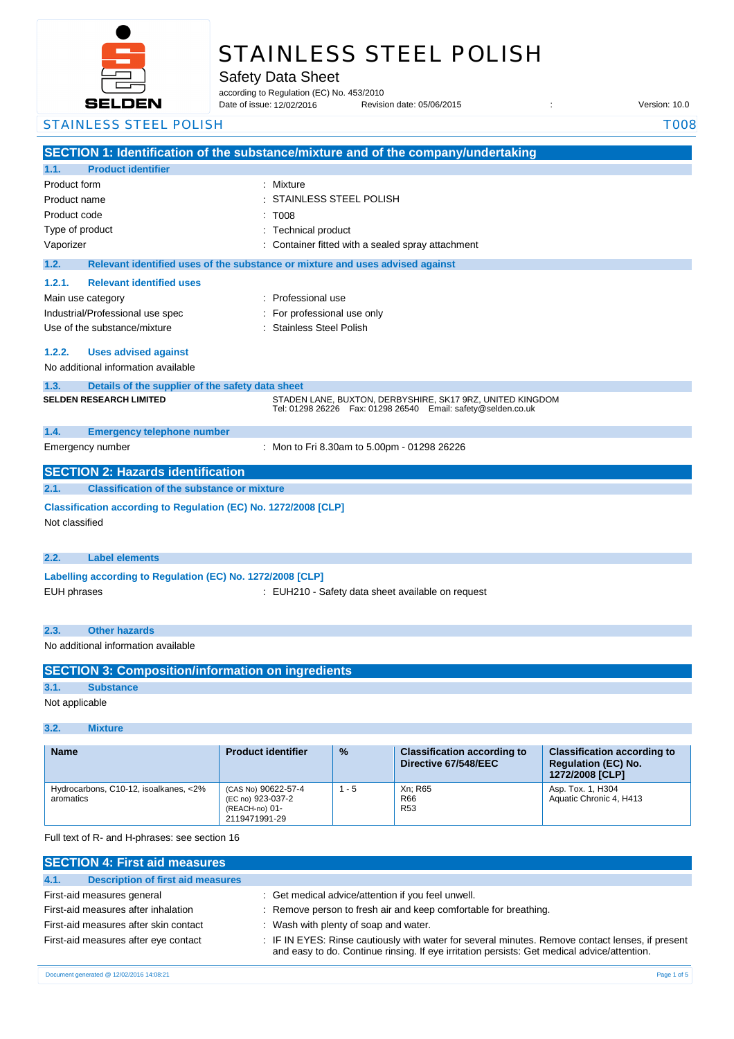

# STAINLESS STEEL POLISH

Safety Data Sheet

according to Regulation (EC) No. 453/2010

Date of issue: Revision date: 05/06/2015 : Version: 10.0 Date of issue: 12/02/2016

### STAINLESS STEEL POLISH TOOS

|                                                                                                                                    | SECTION 1: Identification of the substance/mixture and of the company/undertaking                                               |  |
|------------------------------------------------------------------------------------------------------------------------------------|---------------------------------------------------------------------------------------------------------------------------------|--|
| <b>Product identifier</b><br>1.1.                                                                                                  |                                                                                                                                 |  |
| Product form<br>Product name<br>Product code<br>Type of product<br>Vaporizer                                                       | : Mixture<br>STAINLESS STEEL POLISH<br>T008<br><b>Technical product</b><br>Container fitted with a sealed spray attachment      |  |
| 1.2.                                                                                                                               | Relevant identified uses of the substance or mixture and uses advised against                                                   |  |
| 1.2.1.<br><b>Relevant identified uses</b><br>Main use category<br>Industrial/Professional use spec<br>Use of the substance/mixture | : Professional use<br>For professional use only<br>: Stainless Steel Polish                                                     |  |
| 1.2.2.<br><b>Uses advised against</b><br>No additional information available                                                       |                                                                                                                                 |  |
| 1.3.<br>Details of the supplier of the safety data sheet                                                                           |                                                                                                                                 |  |
| <b>SELDEN RESEARCH LIMITED</b>                                                                                                     | STADEN LANE, BUXTON, DERBYSHIRE, SK17 9RZ, UNITED KINGDOM<br>Tel: 01298 26226    Fax: 01298 26540    Email: safety@selden.co.uk |  |
| 1.4.<br><b>Emergency telephone number</b>                                                                                          |                                                                                                                                 |  |
| Emergency number                                                                                                                   | : Mon to Fri 8.30am to 5.00pm - 01298 26226                                                                                     |  |
| <b>SECTION 2: Hazards identification</b>                                                                                           |                                                                                                                                 |  |
| 2.1.<br><b>Classification of the substance or mixture</b>                                                                          |                                                                                                                                 |  |
| Classification according to Regulation (EC) No. 1272/2008 [CLP]<br>Not classified                                                  |                                                                                                                                 |  |
| 2.2.<br><b>Label elements</b>                                                                                                      |                                                                                                                                 |  |
| Labelling according to Regulation (EC) No. 1272/2008 [CLP]<br><b>EUH phrases</b>                                                   | : EUH210 - Safety data sheet available on request                                                                               |  |
| <b>Other hazards</b><br>2.3.                                                                                                       |                                                                                                                                 |  |
| No additional information available                                                                                                |                                                                                                                                 |  |
| <b>SECTION 3: Composition/information on ingredients</b>                                                                           |                                                                                                                                 |  |

**3.1. Substance** Not applicable

## **3.2. Mixture**

| <b>Name</b>                                        | <b>Product identifier</b>                                                   | $\frac{9}{6}$ | <b>Classification according to</b><br>Directive 67/548/EEC | <b>Classification according to</b><br><b>Regulation (EC) No.</b><br>1272/2008 [CLP] |
|----------------------------------------------------|-----------------------------------------------------------------------------|---------------|------------------------------------------------------------|-------------------------------------------------------------------------------------|
| Hydrocarbons, C10-12, isoalkanes, <2%<br>aromatics | (CAS No) 90622-57-4<br>(EC no) 923-037-2<br>(REACH-no) 01-<br>2119471991-29 | $1 - 5$       | Xn: R65<br>R66<br><b>R53</b>                               | Asp. Tox. 1, H304<br>Aquatic Chronic 4, H413                                        |

Full text of R- and H-phrases: see section 16

| <b>SECTION 4: First aid measures</b>             |                                                                                                                                                                                                 |
|--------------------------------------------------|-------------------------------------------------------------------------------------------------------------------------------------------------------------------------------------------------|
| <b>Description of first aid measures</b><br>4.1. |                                                                                                                                                                                                 |
| First-aid measures general                       | : Get medical advice/attention if you feel unwell.                                                                                                                                              |
| First-aid measures after inhalation              | : Remove person to fresh air and keep comfortable for breathing.                                                                                                                                |
| First-aid measures after skin contact            | : Wash with plenty of soap and water.                                                                                                                                                           |
| First-aid measures after eye contact             | : IF IN EYES: Rinse cautiously with water for several minutes. Remove contact lenses, if present<br>and easy to do. Continue rinsing. If eye irritation persists: Get medical advice/attention. |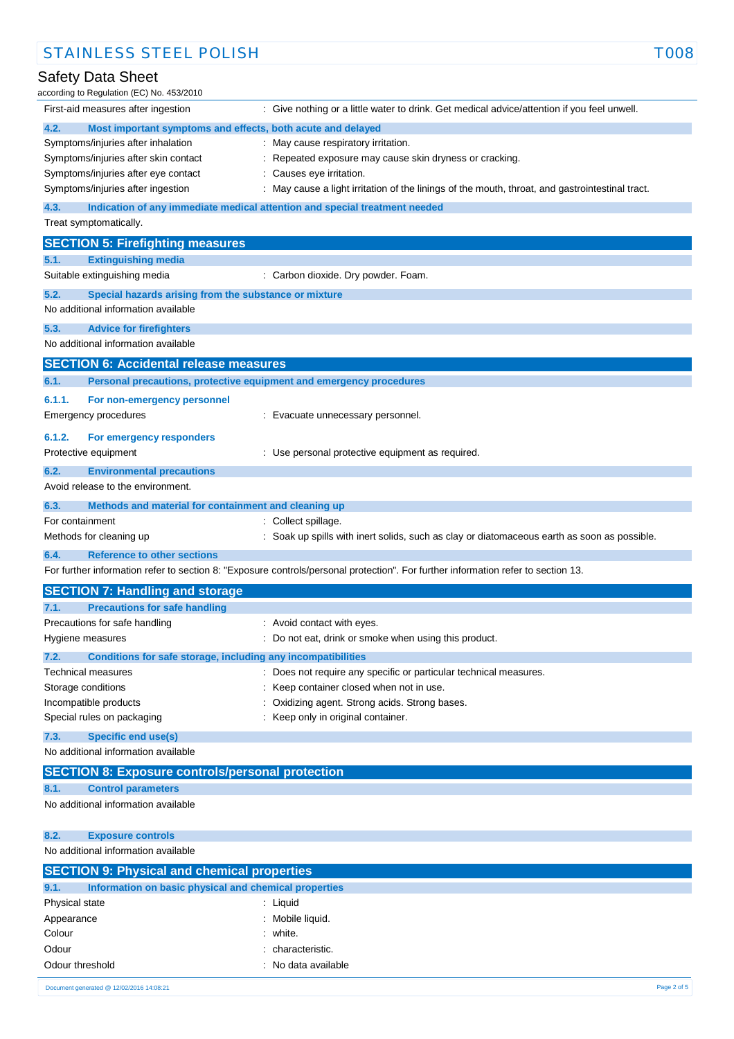| according to Regulation (EC) No. 453/2010                                       |                                                                                                                                   |
|---------------------------------------------------------------------------------|-----------------------------------------------------------------------------------------------------------------------------------|
| First-aid measures after ingestion                                              | : Give nothing or a little water to drink. Get medical advice/attention if you feel unwell.                                       |
| 4.2.<br>Most important symptoms and effects, both acute and delayed             |                                                                                                                                   |
| Symptoms/injuries after inhalation                                              | : May cause respiratory irritation.                                                                                               |
| Symptoms/injuries after skin contact                                            | Repeated exposure may cause skin dryness or cracking.                                                                             |
| Symptoms/injuries after eye contact                                             | Causes eye irritation.                                                                                                            |
| Symptoms/injuries after ingestion                                               | : May cause a light irritation of the linings of the mouth, throat, and gastrointestinal tract.                                   |
| 4.3.                                                                            | Indication of any immediate medical attention and special treatment needed                                                        |
| Treat symptomatically.                                                          |                                                                                                                                   |
| <b>SECTION 5: Firefighting measures</b>                                         |                                                                                                                                   |
| <b>Extinguishing media</b><br>5.1.                                              |                                                                                                                                   |
| Suitable extinguishing media                                                    | : Carbon dioxide. Dry powder. Foam.                                                                                               |
| 5.2.<br>Special hazards arising from the substance or mixture                   |                                                                                                                                   |
| No additional information available                                             |                                                                                                                                   |
| 5.3.<br><b>Advice for firefighters</b>                                          |                                                                                                                                   |
| No additional information available                                             |                                                                                                                                   |
| <b>SECTION 6: Accidental release measures</b>                                   |                                                                                                                                   |
| 6.1.                                                                            | Personal precautions, protective equipment and emergency procedures                                                               |
| 6.1.1.<br>For non-emergency personnel                                           |                                                                                                                                   |
| Emergency procedures                                                            | : Evacuate unnecessary personnel.                                                                                                 |
| 6.1.2.<br>For emergency responders                                              |                                                                                                                                   |
| Protective equipment                                                            | : Use personal protective equipment as required.                                                                                  |
| 6.2.<br><b>Environmental precautions</b>                                        |                                                                                                                                   |
| Avoid release to the environment.                                               |                                                                                                                                   |
|                                                                                 |                                                                                                                                   |
| 6.3.<br>Methods and material for containment and cleaning up<br>For containment | : Collect spillage.                                                                                                               |
| Methods for cleaning up                                                         | Soak up spills with inert solids, such as clay or diatomaceous earth as soon as possible.                                         |
| <b>Reference to other sections</b><br>6.4.                                      |                                                                                                                                   |
|                                                                                 | For further information refer to section 8: "Exposure controls/personal protection". For further information refer to section 13. |
|                                                                                 |                                                                                                                                   |
| <b>SECTION 7: Handling and storage</b>                                          |                                                                                                                                   |
| 7.1.<br><b>Precautions for safe handling</b>                                    |                                                                                                                                   |
| Precautions for safe handling                                                   | : Avoid contact with eyes.                                                                                                        |
| Hygiene measures                                                                | : Do not eat, drink or smoke when using this product.                                                                             |
| 7.2.<br>Conditions for safe storage, including any incompatibilities            |                                                                                                                                   |
| <b>Technical measures</b><br>Storage conditions                                 | : Does not require any specific or particular technical measures.<br>Keep container closed when not in use.                       |
| Incompatible products                                                           | Oxidizing agent. Strong acids. Strong bases.                                                                                      |
| Special rules on packaging                                                      | : Keep only in original container.                                                                                                |
| 7.3.<br><b>Specific end use(s)</b>                                              |                                                                                                                                   |
| No additional information available                                             |                                                                                                                                   |
| <b>SECTION 8: Exposure controls/personal protection</b>                         |                                                                                                                                   |
| <b>Control parameters</b><br>8.1.                                               |                                                                                                                                   |
| No additional information available                                             |                                                                                                                                   |
|                                                                                 |                                                                                                                                   |
| 8.2.<br><b>Exposure controls</b>                                                |                                                                                                                                   |
| No additional information available                                             |                                                                                                                                   |
| <b>SECTION 9: Physical and chemical properties</b>                              |                                                                                                                                   |
| Information on basic physical and chemical properties<br>9.1.                   |                                                                                                                                   |
| Physical state                                                                  | : Liquid                                                                                                                          |
|                                                                                 |                                                                                                                                   |

## STAINLESS STEEL POLISH TOOS

### Safety Data Sheet

11/08/2015 EN (English) 2/5 Document generated @ 12/02/2016 14:08:21 Page 2 of 5

Appearance : Mobile liquid. Colour : white. Odour : characteristic. Odour threshold **Drawing Contract Contract Contract Contract Contract Contract Contract Contract Contract Contract Contract Contract Contract Contract Contract Contract Contract Contract Contract Contract Contract Contract**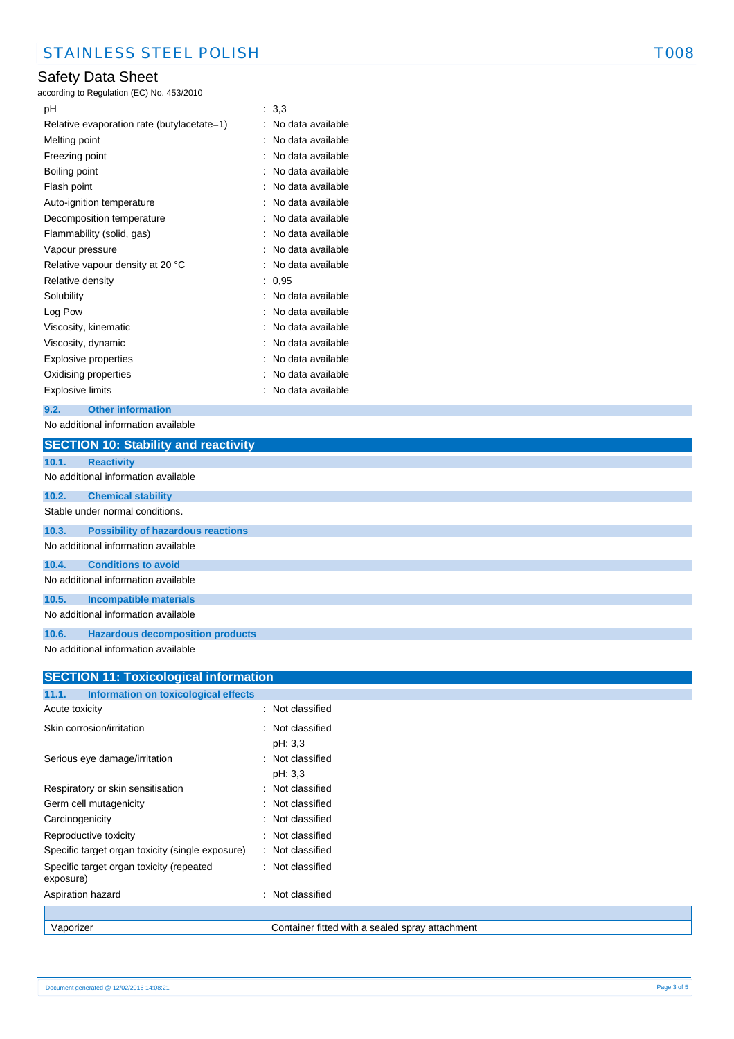### Safety Data Sheet

according to Regulation (EC) No. 453/2010

| рH                                         | : 3.3             |
|--------------------------------------------|-------------------|
| Relative evaporation rate (butylacetate=1) | No data available |
| Melting point                              | No data available |
| Freezing point                             | No data available |
| Boiling point                              | No data available |
| Flash point                                | No data available |
| Auto-ignition temperature                  | No data available |
| Decomposition temperature                  | No data available |
| Flammability (solid, gas)                  | No data available |
| Vapour pressure                            | No data available |
| Relative vapour density at 20 °C           | No data available |
| Relative density                           | 0,95              |
| Solubility                                 | No data available |
| Log Pow                                    | No data available |
| Viscosity, kinematic                       | No data available |
| Viscosity, dynamic                         | No data available |
| Explosive properties                       | No data available |
| Oxidising properties                       | No data available |
| Explosive limits                           | No data available |

### **9.2. Other information**

No additional information available

|       | <b>SECTION 10: Stability and reactivity</b>                      |
|-------|------------------------------------------------------------------|
| 10.1. | <b>Reactivity</b>                                                |
|       | No additional information available                              |
| 10.2. | <b>Chemical stability</b>                                        |
|       | Stable under normal conditions.                                  |
| 10.3. | <b>Possibility of hazardous reactions</b>                        |
|       | No additional information available                              |
| 10.4. | <b>Conditions to avoid</b>                                       |
|       | No additional information available                              |
| 10.5. | <b>Incompatible materials</b>                                    |
|       | No additional information available                              |
| 10.6. | <b>Hazardous decomposition products</b>                          |
|       | . A har an albhid is a faile base of the second base of the late |

No additional information available

| <b>SECTION 11: Toxicological information</b>          |                                                 |  |
|-------------------------------------------------------|-------------------------------------------------|--|
| 11.1.<br>Information on toxicological effects         |                                                 |  |
| Acute toxicity                                        | : Not classified                                |  |
| Skin corrosion/irritation                             | : Not classified<br>pH: 3,3                     |  |
| Serious eye damage/irritation                         | : Not classified<br>pH: 3,3                     |  |
| Respiratory or skin sensitisation                     | Not classified<br>÷                             |  |
| Germ cell mutagenicity                                | Not classified<br>÷                             |  |
| Carcinogenicity                                       | : Not classified                                |  |
| Reproductive toxicity                                 | : Not classified                                |  |
| Specific target organ toxicity (single exposure)      | : Not classified                                |  |
| Specific target organ toxicity (repeated<br>exposure) | : Not classified                                |  |
| Aspiration hazard                                     | : Not classified                                |  |
|                                                       |                                                 |  |
| Vaporizer                                             | Container fitted with a sealed spray attachment |  |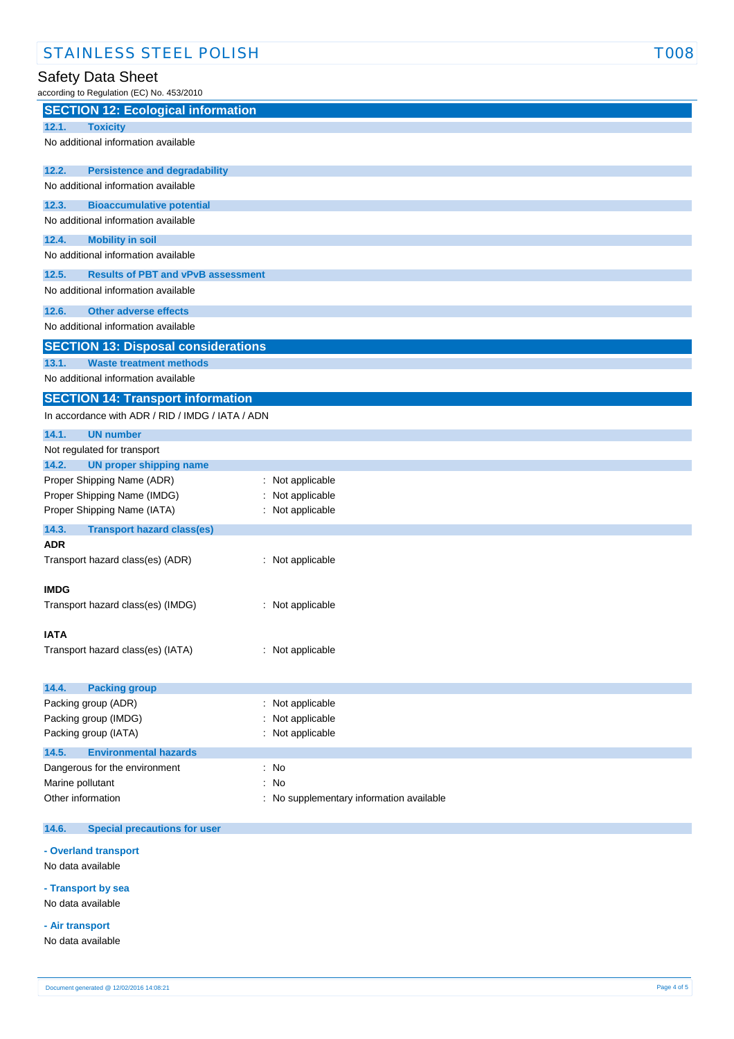### Safety Data Sheet

according to Regulation (EC) No. 453/2010

| $\frac{1}{2}$ is a set of $\frac{1}{2}$            |                                          |
|----------------------------------------------------|------------------------------------------|
| <b>SECTION 12: Ecological information</b>          |                                          |
| 12.1.<br><b>Toxicity</b>                           |                                          |
| No additional information available                |                                          |
| 12.2.<br><b>Persistence and degradability</b>      |                                          |
| No additional information available                |                                          |
| 12.3.<br><b>Bioaccumulative potential</b>          |                                          |
| No additional information available                |                                          |
| 12.4.<br><b>Mobility in soil</b>                   |                                          |
| No additional information available                |                                          |
| 12.5.<br><b>Results of PBT and vPvB assessment</b> |                                          |
| No additional information available                |                                          |
| <b>Other adverse effects</b><br>12.6.              |                                          |
| No additional information available                |                                          |
| <b>SECTION 13: Disposal considerations</b>         |                                          |
| 13.1.<br><b>Waste treatment methods</b>            |                                          |
| No additional information available                |                                          |
| <b>SECTION 14: Transport information</b>           |                                          |
| In accordance with ADR / RID / IMDG / IATA / ADN   |                                          |
| 14.1.<br><b>UN number</b>                          |                                          |
| Not regulated for transport                        |                                          |
| 14.2.<br><b>UN proper shipping name</b>            |                                          |
| Proper Shipping Name (ADR)                         | : Not applicable                         |
| Proper Shipping Name (IMDG)                        | Not applicable                           |
| Proper Shipping Name (IATA)                        | : Not applicable                         |
| 14.3.<br><b>Transport hazard class(es)</b>         |                                          |
| <b>ADR</b>                                         |                                          |
| Transport hazard class(es) (ADR)                   | : Not applicable                         |
| <b>IMDG</b>                                        |                                          |
| Transport hazard class(es) (IMDG)                  | : Not applicable                         |
|                                                    |                                          |
| IATA                                               |                                          |
| Transport hazard class(es) (IATA)                  | : Not applicable                         |
|                                                    |                                          |
| 14.4.<br><b>Packing group</b>                      |                                          |
| Packing group (ADR)                                | : Not applicable                         |
| Packing group (IMDG)                               | Not applicable                           |
| Packing group (IATA)                               | : Not applicable                         |
| 14.5.<br><b>Environmental hazards</b>              |                                          |
| Dangerous for the environment                      | : No                                     |
| Marine pollutant                                   | : No                                     |
| Other information                                  | : No supplementary information available |
|                                                    |                                          |
| 14.6.<br><b>Special precautions for user</b>       |                                          |
|                                                    |                                          |

### **- Overland transport**

No data available

**- Transport by sea** No data available

**- Air transport**

No data available